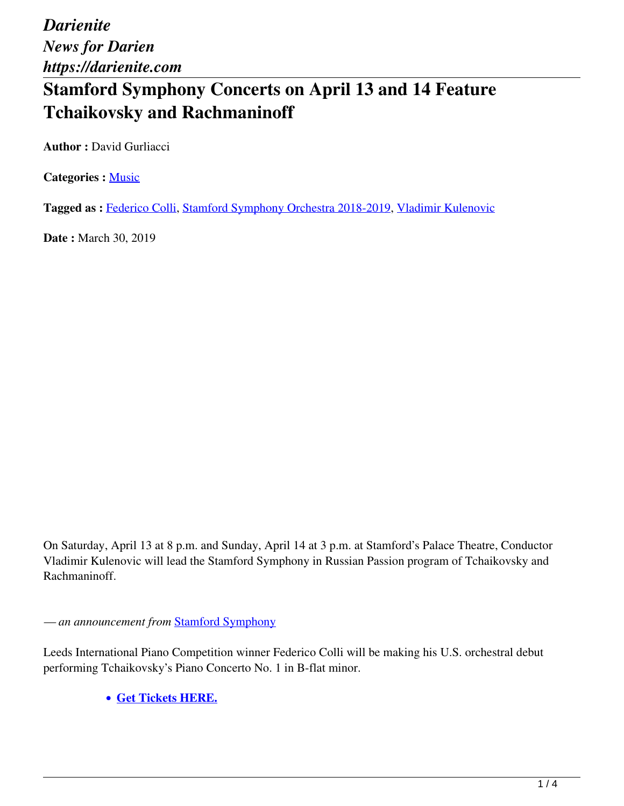*Darienite News for Darien https://darienite.com*

# **Stamford Symphony Concerts on April 13 and 14 Feature Tchaikovsky and Rachmaninoff**

**Author : David Gurliacci** 

**Categories :** [Music](https://darienite.com/category/arts-entertainment/music)

**Tagged as :** Federico Colli, Stamford Symphony Orchestra 2018-2019, Vladimir Kulenovic

**Date :** March 30, 2019

On Saturday, April 13 at 8 p.m. and Sunday, April 14 at 3 p.m. at Stamford's Palace Theatre, Conductor Vladimir Kulenovic will lead the Stamford Symphony in Russian Passion program of Tchaikovsky and Rachmaninoff.

*— an announcement from* Stamford Symphony

Leeds International Piano Competition winner Federico Colli will be making his U.S. orchestral debut performing Tchaikovsky's Piano Concerto No. 1 in B-flat minor.

**Get Tickets HERE.**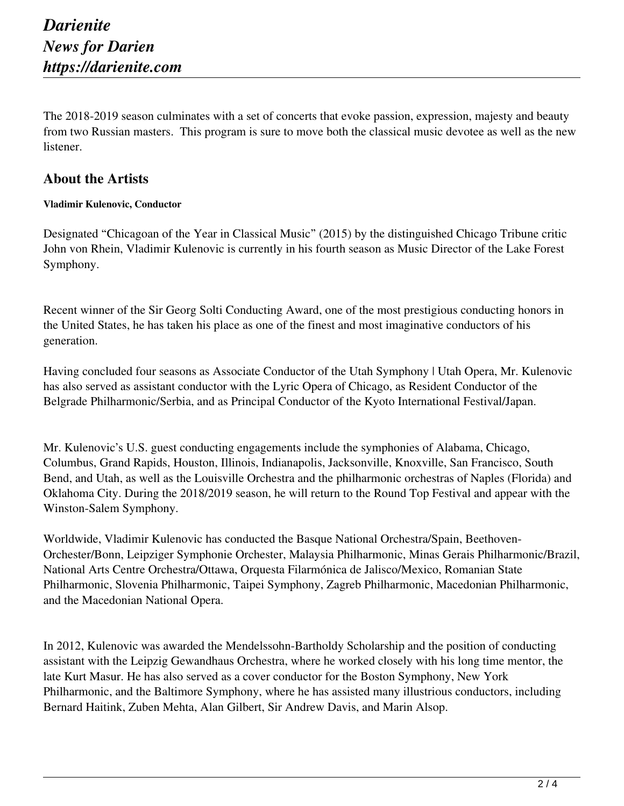The 2018-2019 season culminates with a set of concerts that evoke passion, expression, majesty and beauty from two Russian masters. This program is sure to move both the classical music devotee as well as the new listener.

### **About the Artists**

#### **Vladimir Kulenovic, Conductor**

Designated "Chicagoan of the Year in Classical Music" (2015) by the distinguished Chicago Tribune critic John von Rhein, Vladimir Kulenovic is currently in his fourth season as Music Director of the Lake Forest Symphony.

Recent winner of the Sir Georg Solti Conducting Award, one of the most prestigious conducting honors in the United States, he has taken his place as one of the finest and most imaginative conductors of his generation.

Having concluded four seasons as Associate Conductor of the Utah Symphony | Utah Opera, Mr. Kulenovic has also served as assistant conductor with the Lyric Opera of Chicago, as Resident Conductor of the Belgrade Philharmonic/Serbia, and as Principal Conductor of the Kyoto International Festival/Japan.

Mr. Kulenovic's U.S. guest conducting engagements include the symphonies of Alabama, Chicago, Columbus, Grand Rapids, Houston, Illinois, Indianapolis, Jacksonville, Knoxville, San Francisco, South Bend, and Utah, as well as the Louisville Orchestra and the philharmonic orchestras of Naples (Florida) and Oklahoma City. During the 2018/2019 season, he will return to the Round Top Festival and appear with the Winston-Salem Symphony.

Worldwide, Vladimir Kulenovic has conducted the Basque National Orchestra/Spain, Beethoven-Orchester/Bonn, Leipziger Symphonie Orchester, Malaysia Philharmonic, Minas Gerais Philharmonic/Brazil, National Arts Centre Orchestra/Ottawa, Orquesta Filarmónica de Jalisco/Mexico, Romanian State Philharmonic, Slovenia Philharmonic, Taipei Symphony, Zagreb Philharmonic, Macedonian Philharmonic, and the Macedonian National Opera.

In 2012, Kulenovic was awarded the Mendelssohn-Bartholdy Scholarship and the position of conducting assistant with the Leipzig Gewandhaus Orchestra, where he worked closely with his long time mentor, the late Kurt Masur. He has also served as a cover conductor for the Boston Symphony, New York Philharmonic, and the Baltimore Symphony, where he has assisted many illustrious conductors, including Bernard Haitink, Zuben Mehta, Alan Gilbert, Sir Andrew Davis, and Marin Alsop.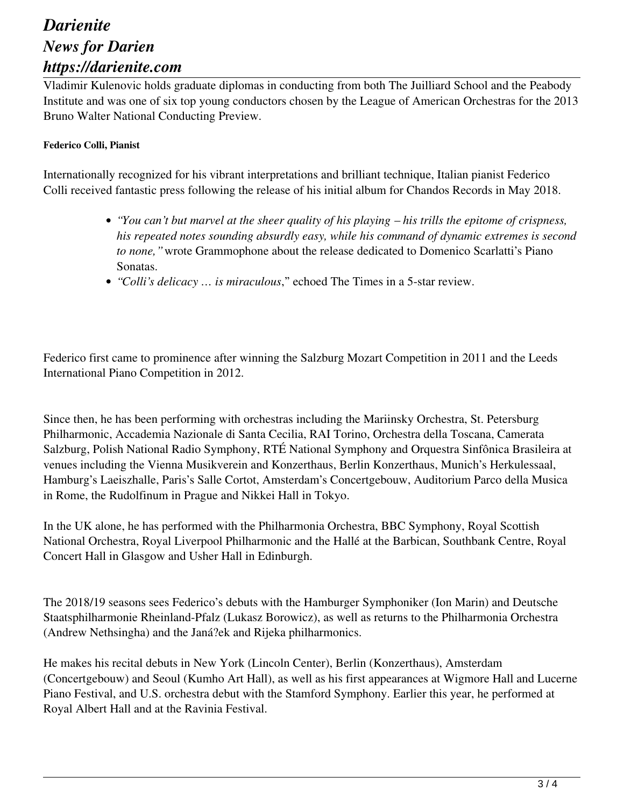## *Darienite News for Darien https://darienite.com*

Vladimir Kulenovic holds graduate diplomas in conducting from both The Juilliard School and the Peabody Institute and was one of six top young conductors chosen by the League of American Orchestras for the 2013 Bruno Walter National Conducting Preview.

#### **Federico Colli, Pianist**

Internationally recognized for his vibrant interpretations and brilliant technique, Italian pianist Federico Colli received fantastic press following the release of his initial album for Chandos Records in May 2018.

- *"You can't but marvel at the sheer quality of his playing his trills the epitome of crispness, his repeated notes sounding absurdly easy, while his command of dynamic extremes is second to none,"* wrote Grammophone about the release dedicated to Domenico Scarlatti's Piano Sonatas.
- *"Colli's delicacy … is miraculous*," echoed The Times in a 5-star review.

Federico first came to prominence after winning the Salzburg Mozart Competition in 2011 and the Leeds International Piano Competition in 2012.

Since then, he has been performing with orchestras including the Mariinsky Orchestra, St. Petersburg Philharmonic, Accademia Nazionale di Santa Cecilia, RAI Torino, Orchestra della Toscana, Camerata Salzburg, Polish National Radio Symphony, RTÉ National Symphony and Orquestra Sinfônica Brasileira at venues including the Vienna Musikverein and Konzerthaus, Berlin Konzerthaus, Munich's Herkulessaal, Hamburg's Laeiszhalle, Paris's Salle Cortot, Amsterdam's Concertgebouw, Auditorium Parco della Musica in Rome, the Rudolfinum in Prague and Nikkei Hall in Tokyo.

In the UK alone, he has performed with the Philharmonia Orchestra, BBC Symphony, Royal Scottish National Orchestra, Royal Liverpool Philharmonic and the Hallé at the Barbican, Southbank Centre, Royal Concert Hall in Glasgow and Usher Hall in Edinburgh.

The 2018/19 seasons sees Federico's debuts with the Hamburger Symphoniker (Ion Marin) and Deutsche Staatsphilharmonie Rheinland-Pfalz (Lukasz Borowicz), as well as returns to the Philharmonia Orchestra (Andrew Nethsingha) and the Janá?ek and Rijeka philharmonics.

He makes his recital debuts in New York (Lincoln Center), Berlin (Konzerthaus), Amsterdam (Concertgebouw) and Seoul (Kumho Art Hall), as well as his first appearances at Wigmore Hall and Lucerne Piano Festival, and U.S. orchestra debut with the Stamford Symphony. Earlier this year, he performed at Royal Albert Hall and at the Ravinia Festival.